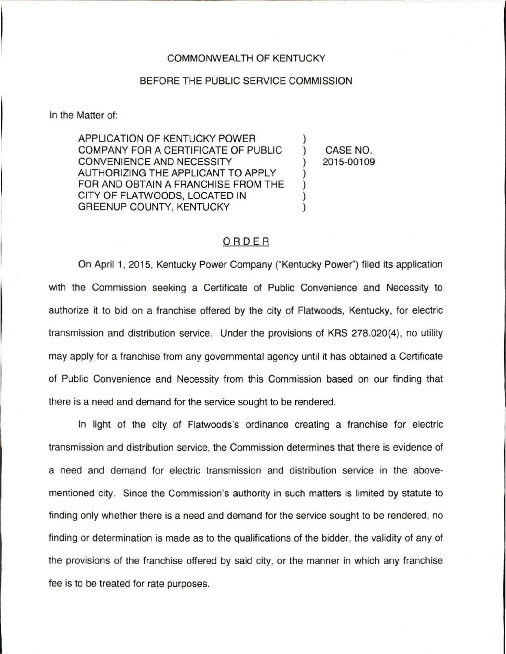## COMMONWEALTH OF KENTUCKY

## BEFORE THE PUBLIC SERVICE COMMISSION

In the Matter of:

APPLICATION OF KENTUCKY POWER COMPANY FOR A CERTIFICATE OF PUBLIC CONVENIENCE AND NECESSITY AUTHORIZING THE APPLICANT TO APPLY FOR AND OBTAIN A FRANCHISE FROM THE CITY OF FLATWOODS, LOCATED IN GREENUP COUNTY, KENTUCKY

) CASE NO. ) 2015-00109

)

) ) ) )

## ORDER

On April 1, 2015, Kentucky Power Company ("Kentucky Power") filed its application with the Commission seeking a Certificate of Public Convenience and Necessity to authorize it to bid on a franchise offered by the city of Flatwoods, Kentucky, for electric transmission and distribution service. Under the provisions of KRS 278.020(4), no utility may apply for a franchise from any governmental agency until it has obtained a Certificate of Public Convenience and Necessity from this Commission based on our finding that there is a need and demand for the service sought to be rendered.

In light of the city of Flatwoods's ordinance creating a franchise for electric transmission and distribution service, the Commission determines that there is evidence of a need and demand for electric transmission and distribution service in the abovementioned city. Since the Commission's authority in such matters is limited by statute to finding only whether there is a need and demand for the service sought to be rendered, no finding or determination is made as to the qualifications of the bidder, the validity of any of the provisions of the franchise offered by said city, or the manner in which any franchise fee is to be treated for rate purposes.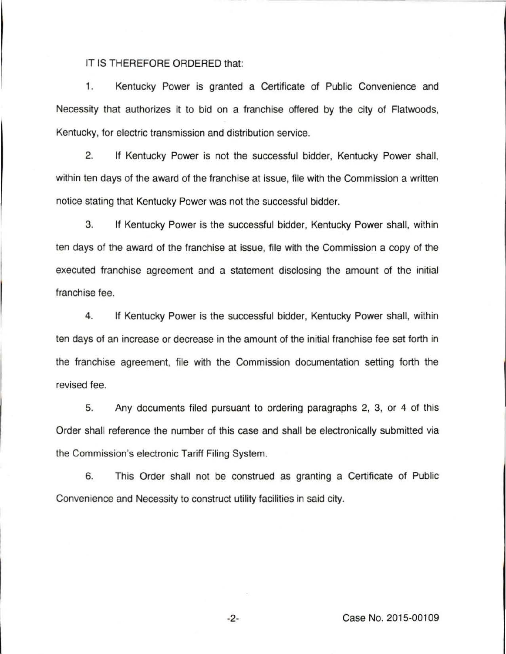## IT IS THEREFORE ORDERED that:

1. Kentucky Power is granted a Certificate of Public Convenience and Necessity that authorizes it to bid on a franchise offered by the city of Flatwoods, Kentucky, for electric transmission and distribution service.

2. If Kentucky Power is not the successful bidder, Kentucky Power shall, within ten days of the award of the franchise at issue, file with the Commission a written notice stating that Kentucky Power was not the successful bidder.

3. If Kentucky Power is the successful bidder, Kentucky Power shall, within ten days of the award of the franchise at issue, file with the Commission a copy of the executed franchise agreement and a statement disclosing the amount of the initial franchise fee.

4. If Kentucky Power is the successful bidder, Kentucky Power shall, within ten days of an increase or decrease in the amount of the initial franchise fee set forth in the franchise agreement, file with the Commission documentation setting forth the revised fee.

5. Any documents filed pursuant to ordering paragraphs 2, 3, or 4 of this Order shall reference the number of this case and shall be electronically submitted via the Commission's electronic Tariff Filing System.

6. This Order shall not be construed as granting a Certificate of Public Convenience and Necessity to construct utility facilities in said city.

-2- Case No. 2015-00109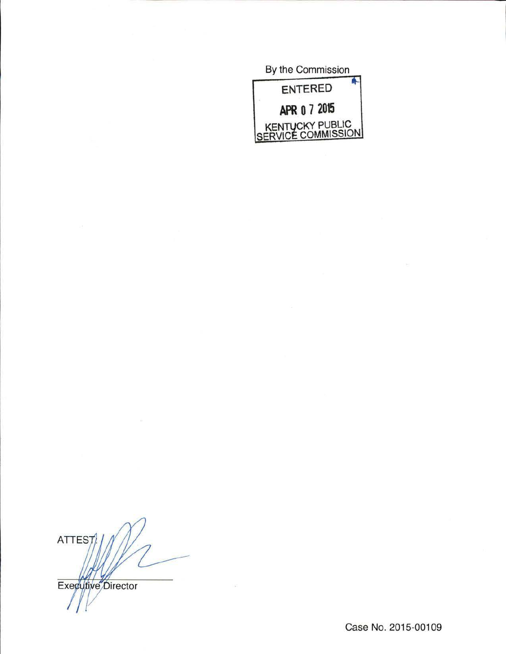By the Commission **ENTERED APR o 7 2015**  KENTUCKY PUBLIC SERVICE COMMISSION

**ATTEST** Executive Director

Case No. 2015-00109